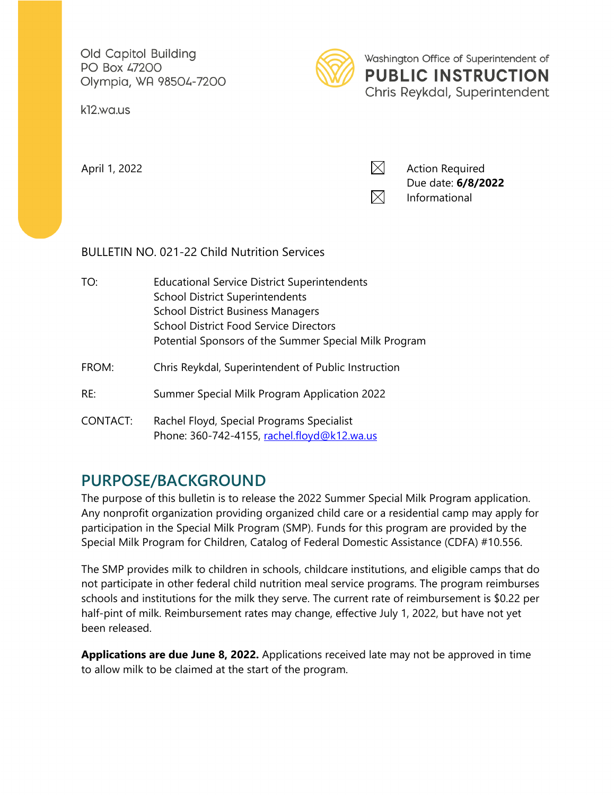Old Capitol Building **PO Box 47200** Olympia, WA 98504-7200

k12.wa.us



Washington Office of Superintendent of **PUBLIC INSTRUCTION** Chris Reykdal, Superintendent



### BULLETIN NO. 021-22 Child Nutrition Services

| TO:      | <b>Educational Service District Superintendents</b><br><b>School District Superintendents</b><br><b>School District Business Managers</b> |
|----------|-------------------------------------------------------------------------------------------------------------------------------------------|
|          | <b>School District Food Service Directors</b>                                                                                             |
|          | Potential Sponsors of the Summer Special Milk Program                                                                                     |
| FROM:    | Chris Reykdal, Superintendent of Public Instruction                                                                                       |
| RE:      | Summer Special Milk Program Application 2022                                                                                              |
| CONTACT: | Rachel Floyd, Special Programs Specialist<br>Phone: 360-742-4155, rachel.floyd@k12.wa.us                                                  |

## **PURPOSE/BACKGROUND**

The purpose of this bulletin is to release the 2022 Summer Special Milk Program application. Any nonprofit organization providing organized child care or a residential camp may apply for participation in the Special Milk Program (SMP). Funds for this program are provided by the Special Milk Program for Children, Catalog of Federal Domestic Assistance (CDFA) #10.556.

The SMP provides milk to children in schools, childcare institutions, and eligible camps that do not participate in other federal child nutrition meal service programs. The program reimburses schools and institutions for the milk they serve. The current rate of reimbursement is \$0.22 per half-pint of milk. Reimbursement rates may change, effective July 1, 2022, but have not yet been released.

**Applications are due June 8, 2022.** Applications received late may not be approved in time to allow milk to be claimed at the start of the program.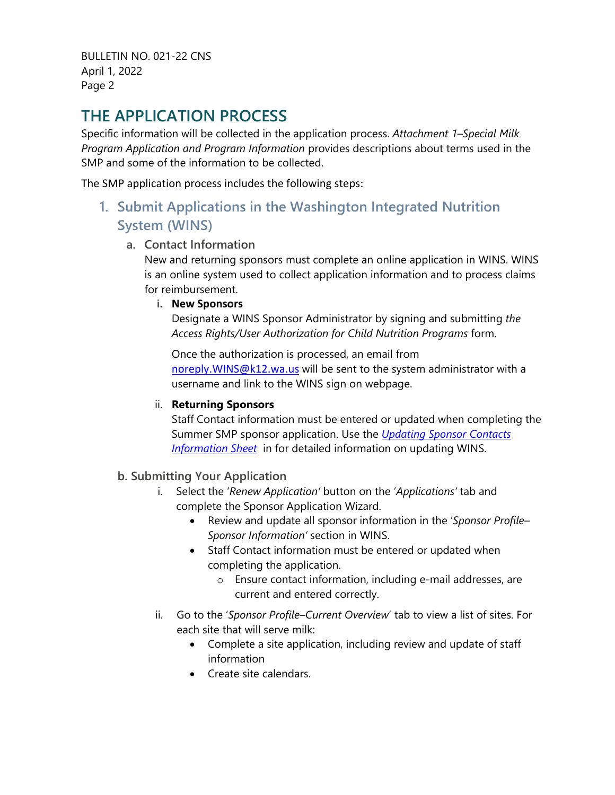# **THE APPLICATION PROCESS**

Specific information will be collected in the application process. *Attachment 1–Special Milk Program Application and Program Information* provides descriptions about terms used in the SMP and some of the information to be collected.

The SMP application process includes the following steps:

**1. Submit Applications in the Washington Integrated Nutrition System (WINS)**

#### **a. Contact Information**

New and returning sponsors must complete an online application in WINS. WINS is an online system used to collect application information and to process claims for reimbursement.

#### i. **New Sponsors**

Designate a WINS Sponsor Administrator by signing and submitting *the Access Rights/User Authorization for Child Nutrition Programs* form.

Once the authorization is processed, an email from noreply. WINS@k12.wa.us will be sent to the system administrator with a username and link to the WINS sign on webpage.

#### ii. **Returning Sponsors**

Staff Contact information must be entered or updated when completing the Summer SMP sponsor application. Use the *[Updating Sponsor Contacts](https://www.wa-wins.com/WINS/Views/Utility/Utility.aspx?Source=ShowDocument&Guid=c0cf7af2-afc0-49ad-882a-f4a2acb2f393)  [Information Sheet](https://www.wa-wins.com/WINS/Views/Utility/Utility.aspx?Source=ShowDocument&Guid=c0cf7af2-afc0-49ad-882a-f4a2acb2f393)* in for detailed information on updating WINS.

#### **b. Submitting Your Application**

- i. Select the '*Renew Application'* button on the '*Applications'* tab and complete the Sponsor Application Wizard.
	- Review and update all sponsor information in the '*Sponsor Profile– Sponsor Information'* section in WINS.
	- Staff Contact information must be entered or updated when completing the application.
		- o Ensure contact information, including e-mail addresses, are current and entered correctly.
- ii. Go to the '*Sponsor Profile–Current Overview*' tab to view a list of sites. For each site that will serve milk:
	- Complete a site application, including review and update of staff information
	- Create site calendars.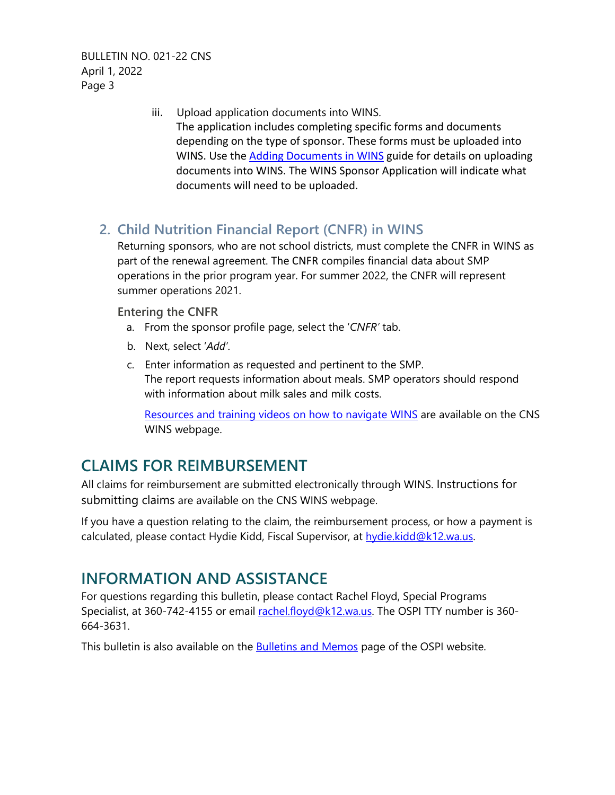> iii. Upload application documents into WINS. The application includes completing specific forms and documents depending on the type of sponsor. These forms must be uploaded into WINS. Use the [Adding Documents in WINS](https://www.k12.wa.us/sites/default/files/public/childnutrition/pubdocs/AddingDocumentsInWINS.pdf) guide for details on uploading documents into WINS. The WINS Sponsor Application will indicate what documents will need to be uploaded.

### **2. Child Nutrition Financial Report (CNFR) in WINS**

Returning sponsors, who are not school districts, must complete the CNFR in WINS as part of the renewal agreement. The CNFR compiles financial data about SMP operations in the prior program year. For summer 2022, the CNFR will represent summer operations 2021.

#### **Entering the CNFR**

- a. From the sponsor profile page, select the '*CNFR'* tab.
- b. Next, select '*Add'*.
- c. Enter information as requested and pertinent to the SMP. The report requests information about meals. SMP operators should respond with information about milk sales and milk costs.

[Resources and training videos on how to navigate WINS](http://www.k12.wa.us/ChildNutrition/WINS.aspx) are available on the CNS WINS webpage.

## **CLAIMS FOR REIMBURSEMENT**

All claims for reimbursement are submitted electronically through WINS. Instructions for submitting claims are available on the CNS WINS webpage.

If you have a question relating to the claim, the reimbursement process, or how a payment is calculated, please contact Hydie Kidd, Fiscal Supervisor, at [hydie.kidd@k12.wa.us.](mailto:hydie.kidd@k12.wa.us)

## **INFORMATION AND ASSISTANCE**

For questions regarding this bulletin, please contact Rachel Floyd, Special Programs Specialist, at 360-742-4155 or email [rachel.floyd@k12.wa.us.](mailto:elizabeth.beechler@k12.wa.us) The OSPI TTY number is 360-664-3631.

This bulletin is also available on the [Bulletins and Memos](https://www.k12.wa.us/about-ospi/bulletinsmemos/bulletins) page of the OSPI website.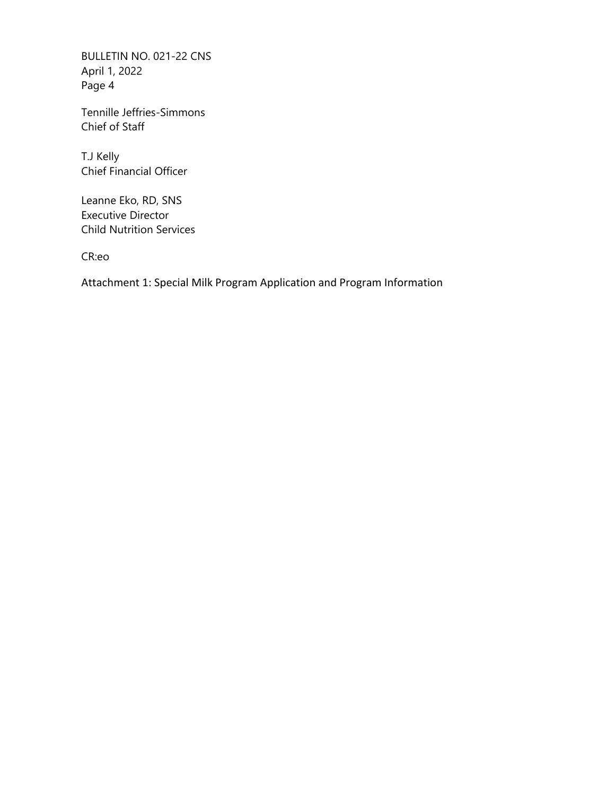Tennille Jeffries-Simmons Chief of Staff

T.J Kelly Chief Financial Officer

Leanne Eko, RD, SNS Executive Director Child Nutrition Services

CR:eo

Attachment 1: Special Milk Program Application and Program Information